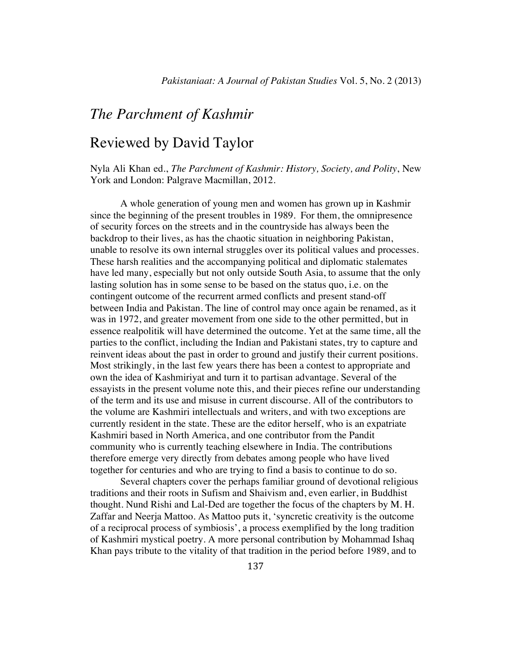## *The Parchment of Kashmir*

## Reviewed by David Taylor

Nyla Ali Khan ed., *The Parchment of Kashmir: History, Society, and Polity*, New York and London: Palgrave Macmillan, 2012.

A whole generation of young men and women has grown up in Kashmir since the beginning of the present troubles in 1989. For them, the omnipresence of security forces on the streets and in the countryside has always been the backdrop to their lives, as has the chaotic situation in neighboring Pakistan, unable to resolve its own internal struggles over its political values and processes. These harsh realities and the accompanying political and diplomatic stalemates have led many, especially but not only outside South Asia, to assume that the only lasting solution has in some sense to be based on the status quo, i.e. on the contingent outcome of the recurrent armed conflicts and present stand-off between India and Pakistan. The line of control may once again be renamed, as it was in 1972, and greater movement from one side to the other permitted, but in essence realpolitik will have determined the outcome. Yet at the same time, all the parties to the conflict, including the Indian and Pakistani states, try to capture and reinvent ideas about the past in order to ground and justify their current positions. Most strikingly, in the last few years there has been a contest to appropriate and own the idea of Kashmiriyat and turn it to partisan advantage. Several of the essayists in the present volume note this, and their pieces refine our understanding of the term and its use and misuse in current discourse. All of the contributors to the volume are Kashmiri intellectuals and writers, and with two exceptions are currently resident in the state. These are the editor herself, who is an expatriate Kashmiri based in North America, and one contributor from the Pandit community who is currently teaching elsewhere in India. The contributions therefore emerge very directly from debates among people who have lived together for centuries and who are trying to find a basis to continue to do so.

Several chapters cover the perhaps familiar ground of devotional religious traditions and their roots in Sufism and Shaivism and, even earlier, in Buddhist thought. Nund Rishi and Lal-Ded are together the focus of the chapters by M. H. Zaffar and Neerja Mattoo. As Mattoo puts it, 'syncretic creativity is the outcome of a reciprocal process of symbiosis', a process exemplified by the long tradition of Kashmiri mystical poetry. A more personal contribution by Mohammad Ishaq Khan pays tribute to the vitality of that tradition in the period before 1989, and to